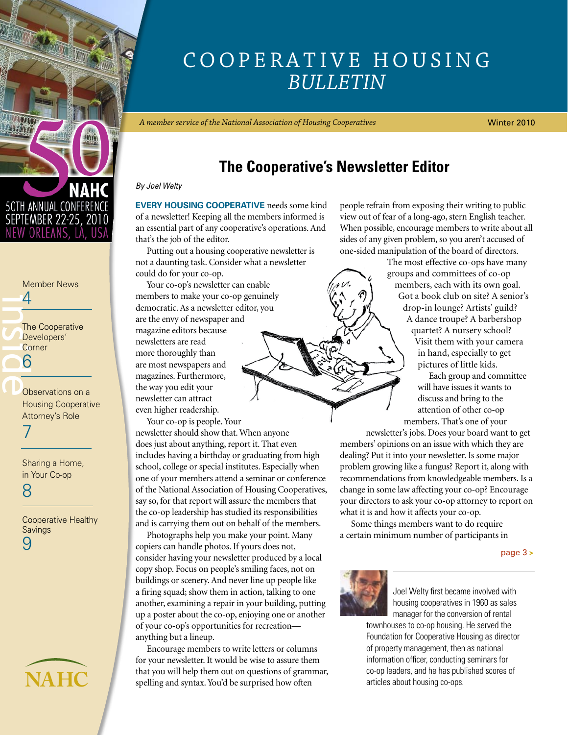<span id="page-0-0"></span>

### $\frac{1}{\sqrt{\frac{1}{100}}}}$ [Member News](#page-3-0)  4 The Cooperative Developers' **Corner** 6

Observations on a [Housing Cooperative](#page-6-0)  Attorney's Role 7

[Sharing a Home,](#page-7-0)  in Your Co-op

8

[Cooperative Healthy](#page-8-0) Savings 9

# **NAHC**

# Cooperative Housing *Bulletin*

*A member service of the National Association of Housing Cooperatives*

Winter 2010

# **The Cooperative's Newsletter Editor**

*By Joel Welty*

**EVERY HOUSING COOPERATIVE** needs some kind of a newsletter! Keeping all the members informed is an essential part of any cooperative's operations. And that's the job of the editor.

Putting out a housing cooperative newsletter is not a daunting task. Consider what a newsletter could do for your co-op.

Your co-op's newsletter can enable members to make your co-op genuinely democratic. As a newsletter editor, you are the envy of newspaper and magazine editors because newsletters are read more thoroughly than are most newspapers and magazines. Furthermore, the way you edit your newsletter can attract even higher readership.

Your co-op is people. Your newsletter should show that. When anyone does just about anything, report it. That even includes having a birthday or graduating from high school, college or special institutes. Especially when one of your members attend a seminar or conference of the National Association of Housing Cooperatives, say so, for that report will assure the members that the co-op leadership has studied its responsibilities and is carrying them out on behalf of the members.

Photographs help you make your point. Many copiers can handle photos. If yours does not, consider having your newsletter produced by a local copy shop. Focus on people's smiling faces, not on buildings or scenery. And never line up people like a firing squad; show them in action, talking to one another, examining a repair in your building, putting up a poster about the co-op, enjoying one or another of your co-op's opportunities for recreation anything but a lineup.

Encourage members to write letters or columns for your newsletter. It would be wise to assure them that you will help them out on questions of grammar, spelling and syntax. You'd be surprised how often

people refrain from exposing their writing to public view out of fear of a long-ago, stern English teacher. When possible, encourage members to write about all sides of any given problem, so you aren't accused of one-sided manipulation of the board of directors.

> The most effective co-ops have many groups and committees of co-op members, each with its own goal. Got a book club on site? A senior's drop-in lounge? Artists' guild? A dance troupe? A barbershop quartet? A nursery school? Visit them with your camera in hand, especially to get pictures of little kids.

Each group and committee will have issues it wants to discuss and bring to the attention of other co-op members. That's one of your

newsletter's jobs. Does your board want to get members' opinions on an issue with which they are dealing? Put it into your newsletter. Is some major problem growing like a fungus? Report it, along with recommendations from knowledgeable members. Is a change in some law affecting your co-op? Encourage your directors to ask your co-op attorney to report on what it is and how it affects your co-op.

Some things members want to do require a certain minimum number of participants in

#### [page 3](#page-2-0) **>**



Joel Welty first became involved with housing cooperatives in 1960 as sales manager for the conversion of rental

townhouses to co-op housing. He served the Foundation for Cooperative Housing as director of property management, then as national information officer, conducting seminars for co-op leaders, and he has published scores of articles about housing co-ops.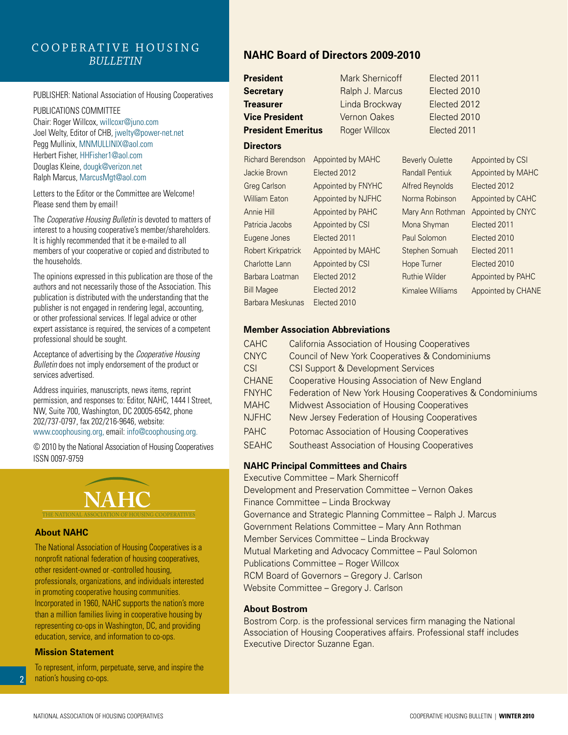#### Cooperative Housing *Bulletin*

#### PUBLISHER: National Association of Housing Cooperatives

PUBLICATIONS COMMITTEE Chair: Roger Willcox, willcoxr@juno.com Joel Welty, Editor of CHB, jwelty@power-net.net Pegg Mullinix, MNMULLINIX@aol.com Herbert Fisher, HHFisher1@aol.com Douglas Kleine, dougk@verizon.net Ralph Marcus, MarcusMgt@aol.com

Letters to the Editor or the Committee are Welcome! Please send them by email!

The *Cooperative Housing Bulletin* is devoted to matters of interest to a housing cooperative's member/shareholders. It is highly recommended that it be e-mailed to all members of your cooperative or copied and distributed to the households*.*

The opinions expressed in this publication are those of the authors and not necessarily those of the Association. This publication is distributed with the understanding that the publisher is not engaged in rendering legal, accounting, or other professional services. If legal advice or other expert assistance is required, the services of a competent professional should be sought.

Acceptance of advertising by the *Cooperative Housing Bulletin* does not imply endorsement of the product or services advertised.

Address inquiries, manuscripts, news items, reprint permission, and responses to: Editor, NAHC, 1444 I Street, NW, Suite 700, Washington, DC 20005-6542, phone 202/737-0797, fax 202/216-9646, website: www.coophousing.org, email: info@coophousing.org.

© 2010 by the National Association of Housing Cooperatives ISSN 0097-9759



#### **About NAHC**

The National Association of Housing Cooperatives is a nonprofit national federation of housing cooperatives, other resident-owned or -controlled housing, professionals, organizations, and individuals interested in promoting cooperative housing communities. Incorporated in 1960, NAHC supports the nation's more than a million families living in cooperative housing by representing co-ops in Washington, DC, and providing education, service, and information to co-ops.

#### **Mission Statement**

To represent, inform, perpetuate, serve, and inspire the nation's housing co-ops.

#### **NAHC Board of Directors 2009-2010**

| <b>President</b>          |                    | Mark Shernicoff     |                        | Elected 2011           |                    |
|---------------------------|--------------------|---------------------|------------------------|------------------------|--------------------|
| <b>Secretary</b>          |                    | Ralph J. Marcus     |                        | Elected 2010           |                    |
| <b>Treasurer</b>          |                    | Linda Brockway      |                        | Elected 2012           |                    |
| <b>Vice President</b>     |                    | <b>Vernon Oakes</b> |                        | Elected 2010           |                    |
| <b>President Emeritus</b> |                    | Roger Willcox       |                        | Elected 2011           |                    |
| <b>Directors</b>          |                    |                     |                        |                        |                    |
| <b>Richard Berendson</b>  | Appointed by MAHC  |                     |                        | <b>Beverly Oulette</b> | Appointed by CSI   |
| Jackie Brown              | Elected 2012       |                     | <b>Randall Pentiuk</b> |                        | Appointed by MAHC  |
| <b>Greg Carlson</b>       | Appointed by FNYHC |                     | Alfred Reynolds        |                        | Elected 2012       |
| <b>William Eaton</b>      | Appointed by NJFHC |                     | Norma Robinson         |                        | Appointed by CAHC  |
| Annie Hill                | Appointed by PAHC  |                     | Mary Ann Rothman       |                        | Appointed by CNYC  |
| Patricia Jacobs           | Appointed by CSI   |                     | Mona Shyman            |                        | Elected 2011       |
| Eugene Jones              | Elected 2011       |                     | Paul Solomon           |                        | Elected 2010       |
| Robert Kirkpatrick        | Appointed by MAHC  |                     | Stephen Somuah         |                        | Elected 2011       |
| Charlotte Lann            | Appointed by CSI   |                     | Hope Turner            |                        | Elected 2010       |
| Barbara Loatman           | Elected 2012       |                     | <b>Ruthie Wilder</b>   |                        | Appointed by PAHC  |
| <b>Bill Magee</b>         | Elected 2012       |                     | Kimalee Williams       |                        | Appointed by CHANE |
| Barbara Meskunas          | Elected 2010       |                     |                        |                        |                    |

#### **Member Association Abbreviations**

| <b>CAHC</b>  | <b>California Association of Housing Cooperatives</b>      |
|--------------|------------------------------------------------------------|
| <b>CNYC</b>  | Council of New York Cooperatives & Condominiums            |
| CSI          | <b>CSI Support &amp; Development Services</b>              |
| <b>CHANE</b> | Cooperative Housing Association of New England             |
| <b>FNYHC</b> | Federation of New York Housing Cooperatives & Condominiums |
| <b>MAHC</b>  | Midwest Association of Housing Cooperatives                |
| <b>NJFHC</b> | New Jersey Federation of Housing Cooperatives              |
| <b>PAHC</b>  | Potomac Association of Housing Cooperatives                |
| <b>SFAHC</b> | Southeast Association of Housing Cooperatives              |

#### **NAHC Principal Committees and Chairs**

Executive Committee – Mark Shernicoff Development and Preservation Committee – Vernon Oakes Finance Committee – Linda Brockway Governance and Strategic Planning Committee – Ralph J. Marcus Government Relations Committee – Mary Ann Rothman Member Services Committee – Linda Brockway Mutual Marketing and Advocacy Committee – Paul Solomon Publications Committee – Roger Willcox RCM Board of Governors – Gregory J. Carlson Website Committee – Gregory J. Carlson

#### **About Bostrom**

Bostrom Corp. is the professional services firm managing the National Association of Housing Cooperatives affairs. Professional staff includes Executive Director Suzanne Egan.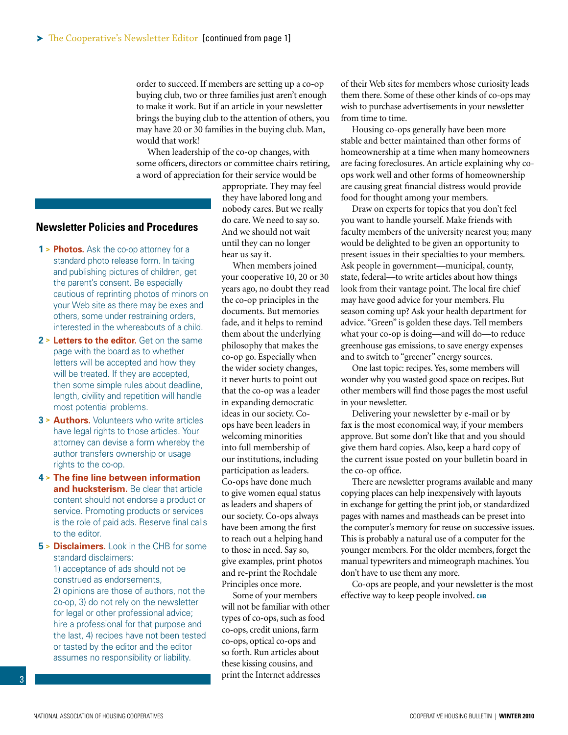<span id="page-2-0"></span>order to succeed. If members are setting up a co-op buying club, two or three families just aren't enough to make it work. But if an article in your newsletter brings the buying club to the attention of others, you may have 20 or 30 families in the buying club. Man, would that work!

When leadership of the co-op changes, with some officers, directors or committee chairs retiring, a word of appreciation for their service would be

#### **Newsletter Policies and Procedures**

- **1 > Photos.** Ask the co-op attorney for a standard photo release form. In taking and publishing pictures of children, get the parent's consent. Be especially cautious of reprinting photos of minors on your Web site as there may be exes and others, some under restraining orders, interested in the whereabouts of a child.
- **2 > Letters to the editor.** Get on the same page with the board as to whether letters will be accepted and how they will be treated. If they are accepted, then some simple rules about deadline, length, civility and repetition will handle most potential problems.
- **3 > Authors.** Volunteers who write articles have legal rights to those articles. Your attorney can devise a form whereby the author transfers ownership or usage rights to the co-op.
- **4 > The fine line between information and hucksterism.** Be clear that article content should not endorse a product or service. Promoting products or services is the role of paid ads. Reserve final calls to the editor.
- **5 > Disclaimers.** Look in the CHB for some standard disclaimers:

1) acceptance of ads should not be construed as endorsements, 2) opinions are those of authors, not the co-op, 3) do not rely on the newsletter for legal or other professional advice; hire a professional for that purpose and the last, 4) recipes have not been tested or tasted by the editor and the editor assumes no responsibility or liability.

appropriate. They may feel they have labored long and nobody cares. But we really do care. We need to say so. And we should not wait until they can no longer hear us say it.

When members joined your cooperative 10, 20 or 30 years ago, no doubt they read the co-op principles in the documents. But memories fade, and it helps to remind them about the underlying philosophy that makes the co-op go. Especially when the wider society changes, it never hurts to point out that the co-op was a leader in expanding democratic ideas in our society. Coops have been leaders in welcoming minorities into full membership of our institutions, including participation as leaders. Co-ops have done much to give women equal status as leaders and shapers of our society. Co-ops always have been among the first to reach out a helping hand to those in need. Say so, give examples, print photos and re-print the Rochdale Principles once more.

Some of your members will not be familiar with other types of co-ops, such as food co-ops, credit unions, farm co-ops, optical co-ops and so forth. Run articles about these kissing cousins, and print the Internet addresses

of their Web sites for members whose curiosity leads them there. Some of these other kinds of co-ops may wish to purchase advertisements in your newsletter from time to time.

Housing co-ops generally have been more stable and better maintained than other forms of homeownership at a time when many homeowners are facing foreclosures. An article explaining why coops work well and other forms of homeownership are causing great financial distress would provide food for thought among your members.

Draw on experts for topics that you don't feel you want to handle yourself. Make friends with faculty members of the university nearest you; many would be delighted to be given an opportunity to present issues in their specialties to your members. Ask people in government—municipal, county, state, federal—to write articles about how things look from their vantage point. The local fire chief may have good advice for your members. Flu season coming up? Ask your health department for advice. "Green" is golden these days. Tell members what your co-op is doing—and will do—to reduce greenhouse gas emissions, to save energy expenses and to switch to "greener" energy sources.

One last topic: recipes. Yes, some members will wonder why you wasted good space on recipes. But other members will find those pages the most useful in your newsletter.

Delivering your newsletter by e-mail or by fax is the most economical way, if your members approve. But some don't like that and you should give them hard copies. Also, keep a hard copy of the current issue posted on your bulletin board in the co-op office.

There are newsletter programs available and many copying places can help inexpensively with layouts in exchange for getting the print job, or standardized pages with names and mastheads can be preset into the computer's memory for reuse on successive issues. This is probably a natural use of a computer for the younger members. For the older members, forget the manual typewriters and mimeograph machines. You don't have to use them any more.

Co-ops are people, and your newsletter is the most effective way to keep people involved. **chb**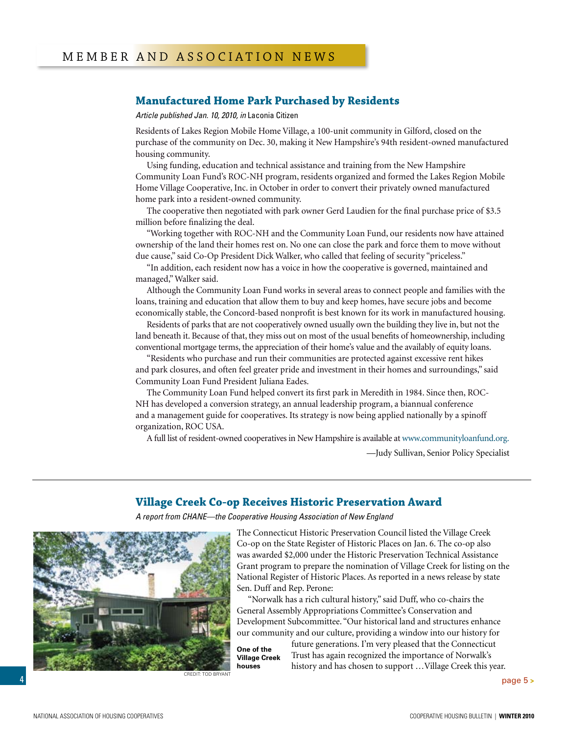#### <span id="page-3-0"></span>**Manufactured Home Park Purchased by Residents**

*Article published Jan. 10, 2010, in* Laconia Citizen

Residents of Lakes Region Mobile Home Village, a 100-unit community in Gilford, closed on the purchase of the community on Dec. 30, making it New Hampshire's 94th resident-owned manufactured housing community.

Using funding, education and technical assistance and training from the New Hampshire Community Loan Fund's ROC-NH program, residents organized and formed the Lakes Region Mobile Home Village Cooperative, Inc. in October in order to convert their privately owned manufactured home park into a resident-owned community.

The cooperative then negotiated with park owner Gerd Laudien for the final purchase price of \$3.5 million before finalizing the deal.

"Working together with ROC-NH and the Community Loan Fund, our residents now have attained ownership of the land their homes rest on. No one can close the park and force them to move without due cause," said Co-Op President Dick Walker, who called that feeling of security "priceless."

"In addition, each resident now has a voice in how the cooperative is governed, maintained and managed," Walker said.

Although the Community Loan Fund works in several areas to connect people and families with the loans, training and education that allow them to buy and keep homes, have secure jobs and become economically stable, the Concord-based nonprofit is best known for its work in manufactured housing.

Residents of parks that are not cooperatively owned usually own the building they live in, but not the land beneath it. Because of that, they miss out on most of the usual benefits of homeownership, including conventional mortgage terms, the appreciation of their home's value and the availably of equity loans.

"Residents who purchase and run their communities are protected against excessive rent hikes and park closures, and often feel greater pride and investment in their homes and surroundings," said Community Loan Fund President Juliana Eades.

The Community Loan Fund helped convert its first park in Meredith in 1984. Since then, ROC-NH has developed a conversion strategy, an annual leadership program, a biannual conference and a management guide for cooperatives. Its strategy is now being applied nationally by a spinoff organization, ROC USA.

A full list of resident-owned cooperatives in New Hampshire is available at www.communityloanfund.org.

—Judy Sullivan, Senior Policy Specialist

#### **Village Creek Co-op Receives Historic Preservation Award**

*A report from CHANE—the Cooperative Housing Association of New England*



The Connecticut Historic Preservation Council listed the Village Creek Co-op on the State Register of Historic Places on Jan. 6. The co-op also was awarded \$2,000 under the Historic Preservation Technical Assistance Grant program to prepare the nomination of Village Creek for listing on the National Register of Historic Places. As reported in a news release by state Sen. Duff and Rep. Perone:

"Norwalk has a rich cultural history," said Duff, who co-chairs the General Assembly Appropriations Committee's Conservation and Development Subcommittee. "Our historical land and structures enhance our community and our culture, providing a window into our history for

**One of the Village Creek houses**

future generations. I'm very pleased that the Connecticut Trust has again recognized the importance of Norwalk's history and has chosen to support …Village Creek this year.

[page 5](#page-4-0) **<sup>&</sup>gt;** Credit: Tod Bryant

4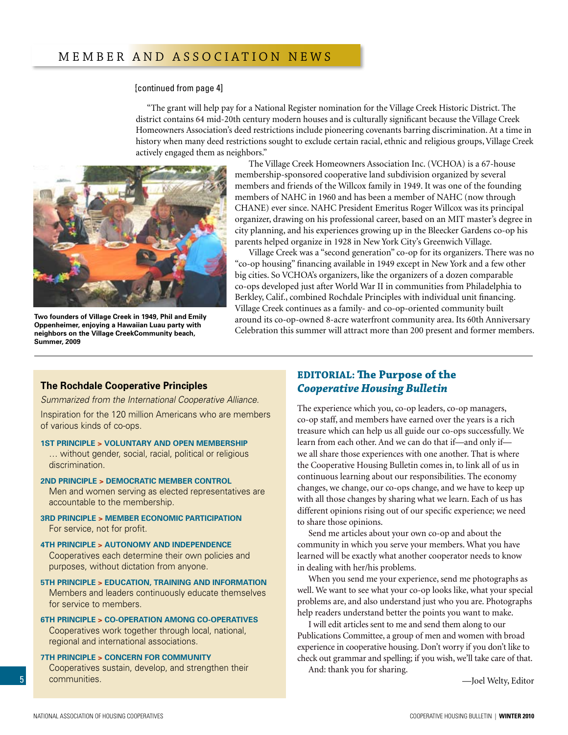#### <span id="page-4-0"></span>[\[continued from page 4\]](#page-3-0)

"The grant will help pay for a National Register nomination for the Village Creek Historic District. The district contains 64 mid-20th century modern houses and is culturally significant because the Village Creek Homeowners Association's deed restrictions include pioneering covenants barring discrimination. At a time in history when many deed restrictions sought to exclude certain racial, ethnic and religious groups, Village Creek actively engaged them as neighbors."



**Two founders of Village Creek in 1949, Phil and Emily Oppenheimer, enjoying a Hawaiian Luau party with neighbors on the Village CreekCommunity beach, Summer, 2009**

The Village Creek Homeowners Association Inc. (VCHOA) is a 67-house membership-sponsored cooperative land subdivision organized by several members and friends of the Willcox family in 1949. It was one of the founding members of NAHC in 1960 and has been a member of NAHC (now through CHANE) ever since. NAHC President Emeritus Roger Willcox was its principal organizer, drawing on his professional career, based on an MIT master's degree in city planning, and his experiences growing up in the Bleecker Gardens co-op his parents helped organize in 1928 in New York City's Greenwich Village.

Village Creek was a "second generation" co-op for its organizers. There was no "co-op housing" financing available in 1949 except in New York and a few other big cities. So VCHOA's organizers, like the organizers of a dozen comparable co-ops developed just after World War II in communities from Philadelphia to Berkley, Calif., combined Rochdale Principles with individual unit financing. Village Creek continues as a family- and co-op-oriented community built around its co-op-owned 8-acre waterfront community area. Its 60th Anniversary Celebration this summer will attract more than 200 present and former members.

#### **The Rochdale Cooperative Principles**

*Summarized from the International Cooperative Alliance.*

Inspiration for the 120 million Americans who are members of various kinds of co-ops.

**1st Principle > Voluntary and Open Membership** 

… without gender, social, racial, political or religious discrimination.

**2nd Principle > Democratic Member Control**

Men and women serving as elected representatives are accountable to the membership.

**3rd Principle > Member Economic Participation**  For service, not for profit.

**4th Principle > Autonomy and Independence** Cooperatives each determine their own policies and purposes, without dictation from anyone.

**5th Principle > Education, Training and Information**  Members and leaders continuously educate themselves for service to members.

**6th Principle > Co-operation Among Co-operatives**  Cooperatives work together through local, national, regional and international associations.

**7th Principle > Concern for Community**  Cooperatives sustain, develop, and strengthen their communities.

#### **EDITORIAL: The Purpose of the** *Cooperative Housing Bulletin*

The experience which you, co-op leaders, co-op managers, co-op staff, and members have earned over the years is a rich treasure which can help us all guide our co-ops successfully. We learn from each other. And we can do that if—and only if we all share those experiences with one another. That is where the Cooperative Housing Bulletin comes in, to link all of us in continuous learning about our responsibilities. The economy changes, we change, our co-ops change, and we have to keep up with all those changes by sharing what we learn. Each of us has different opinions rising out of our specific experience; we need to share those opinions.

Send me articles about your own co-op and about the community in which you serve your members. What you have learned will be exactly what another cooperator needs to know in dealing with her/his problems.

When you send me your experience, send me photographs as well. We want to see what your co-op looks like, what your special problems are, and also understand just who you are. Photographs help readers understand better the points you want to make.

I will edit articles sent to me and send them along to our Publications Committee, a group of men and women with broad experience in cooperative housing. Don't worry if you don't like to check out grammar and spelling; if you wish, we'll take care of that. And: thank you for sharing.

—Joel Welty, Editor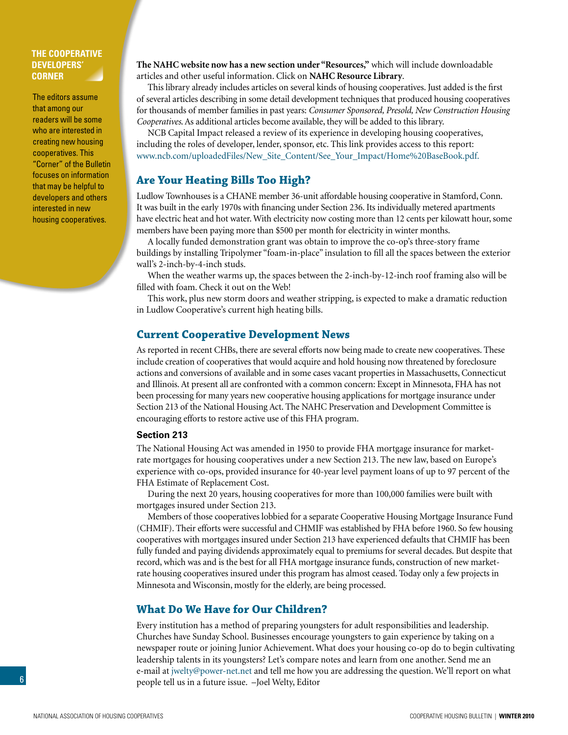#### <span id="page-5-0"></span>**The Cooperative Developers' Corner**

The editors assume that among our readers will be some who are interested in creating new housing cooperatives. This "Corner" of the Bulletin focuses on information that may be helpful to developers and others interested in new housing cooperatives.

**The NAHC website now has a new section under "Resources,"** which will include downloadable articles and other useful information. Click on **NAHC Resource Library**.

This library already includes articles on several kinds of housing cooperatives. Just added is the first of several articles describing in some detail development techniques that produced housing cooperatives for thousands of member families in past years: *Consumer Sponsored, Presold, New Construction Housing Cooperatives*. As additional articles become available, they will be added to this library.

NCB Capital Impact released a review of its experience in developing housing cooperatives, including the roles of developer, lender, sponsor, etc. This link provides access to this report: www.ncb.com/uploadedFiles/New\_Site\_Content/See\_Your\_Impact/Home%20BaseBook.pdf.

#### **Are Your Heating Bills Too High?**

Ludlow Townhouses is a CHANE member 36-unit affordable housing cooperative in Stamford, Conn. It was built in the early 1970s with financing under Section 236. Its individually metered apartments have electric heat and hot water. With electricity now costing more than 12 cents per kilowatt hour, some members have been paying more than \$500 per month for electricity in winter months.

A locally funded demonstration grant was obtain to improve the co-op's three-story frame buildings by installing Tripolymer "foam-in-place" insulation to fill all the spaces between the exterior wall's 2-inch-by-4-inch studs.

When the weather warms up, the spaces between the 2-inch-by-12-inch roof framing also will be filled with foam. Check it out on the Web!

This work, plus new storm doors and weather stripping, is expected to make a dramatic reduction in Ludlow Cooperative's current high heating bills.

#### **Current Cooperative Development News**

As reported in recent CHBs, there are several efforts now being made to create new cooperatives. These include creation of cooperatives that would acquire and hold housing now threatened by foreclosure actions and conversions of available and in some cases vacant properties in Massachusetts, Connecticut and Illinois. At present all are confronted with a common concern: Except in Minnesota, FHA has not been processing for many years new cooperative housing applications for mortgage insurance under Section 213 of the National Housing Act. The NAHC Preservation and Development Committee is encouraging efforts to restore active use of this FHA program.

#### **Section 213**

The National Housing Act was amended in 1950 to provide FHA mortgage insurance for marketrate mortgages for housing cooperatives under a new Section 213. The new law, based on Europe's experience with co-ops, provided insurance for 40-year level payment loans of up to 97 percent of the FHA Estimate of Replacement Cost.

During the next 20 years, housing cooperatives for more than 100,000 families were built with mortgages insured under Section 213.

Members of those cooperatives lobbied for a separate Cooperative Housing Mortgage Insurance Fund (CHMIF). Their efforts were successful and CHMIF was established by FHA before 1960. So few housing cooperatives with mortgages insured under Section 213 have experienced defaults that CHMIF has been fully funded and paying dividends approximately equal to premiums for several decades. But despite that record, which was and is the best for all FHA mortgage insurance funds, construction of new marketrate housing cooperatives insured under this program has almost ceased. Today only a few projects in Minnesota and Wisconsin, mostly for the elderly, are being processed.

#### **What Do We Have for Our Children?**

Every institution has a method of preparing youngsters for adult responsibilities and leadership. Churches have Sunday School. Businesses encourage youngsters to gain experience by taking on a newspaper route or joining Junior Achievement. What does your housing co-op do to begin cultivating leadership talents in its youngsters? Let's compare notes and learn from one another. Send me an e-mail at jwelty@power-net.net and tell me how you are addressing the question. We'll report on what people tell us in a future issue. –Joel Welty, Editor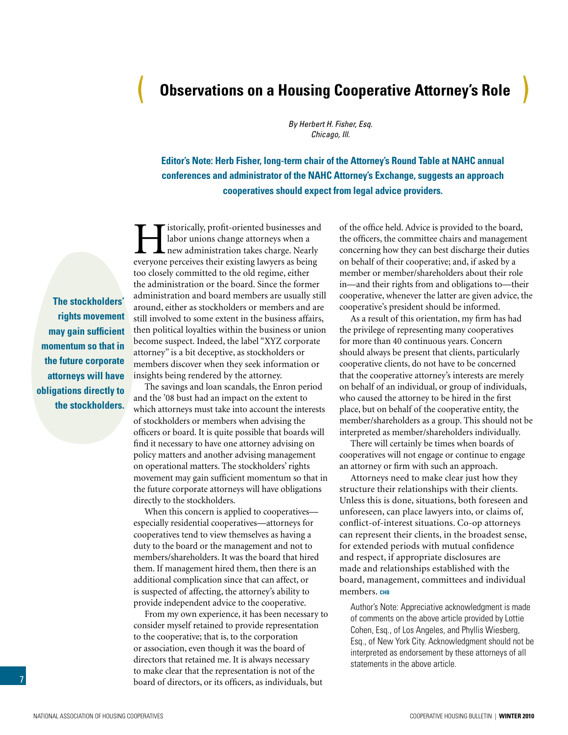# <span id="page-6-0"></span>( **Observations on a Housing Cooperative Attorney's Role** )

*By Herbert H. Fisher, Esq. Chicago, Ill.*

**Editor's Note: Herb Fisher, long-term chair of the Attorney's Round Table at NAHC annual conferences and administrator of the NAHC Attorney's Exchange, suggests an approach cooperatives should expect from legal advice providers.**

**The stockholders' rights movement may gain sufficient momentum so that in the future corporate attorneys will have obligations directly to the stockholders.**

istorically, profit-oriented businesses and<br>labor unions change attorneys when a<br>new administration takes charge. Nearly<br>everyone perceives their existing lawyers as being labor unions change attorneys when a new administration takes charge. Nearly everyone perceives their existing lawyers as being too closely committed to the old regime, either the administration or the board. Since the former administration and board members are usually still around, either as stockholders or members and are still involved to some extent in the business affairs, then political loyalties within the business or union become suspect. Indeed, the label "XYZ corporate attorney" is a bit deceptive, as stockholders or members discover when they seek information or insights being rendered by the attorney.

The savings and loan scandals, the Enron period and the '08 bust had an impact on the extent to which attorneys must take into account the interests of stockholders or members when advising the officers or board. It is quite possible that boards will find it necessary to have one attorney advising on policy matters and another advising management on operational matters. The stockholders' rights movement may gain sufficient momentum so that in the future corporate attorneys will have obligations directly to the stockholders.

When this concern is applied to cooperatives especially residential cooperatives—attorneys for cooperatives tend to view themselves as having a duty to the board or the management and not to members/shareholders. It was the board that hired them. If management hired them, then there is an additional complication since that can affect, or is suspected of affecting, the attorney's ability to provide independent advice to the cooperative.

From my own experience, it has been necessary to consider myself retained to provide representation to the cooperative; that is, to the corporation or association, even though it was the board of directors that retained me. It is always necessary to make clear that the representation is not of the board of directors, or its officers, as individuals, but

of the office held. Advice is provided to the board, the officers, the committee chairs and management concerning how they can best discharge their duties on behalf of their cooperative; and, if asked by a member or member/shareholders about their role in—and their rights from and obligations to—their cooperative, whenever the latter are given advice, the cooperative's president should be informed.

As a result of this orientation, my firm has had the privilege of representing many cooperatives for more than 40 continuous years. Concern should always be present that clients, particularly cooperative clients, do not have to be concerned that the cooperative attorney's interests are merely on behalf of an individual, or group of individuals, who caused the attorney to be hired in the first place, but on behalf of the cooperative entity, the member/shareholders as a group. This should not be interpreted as member/shareholders individually.

There will certainly be times when boards of cooperatives will not engage or continue to engage an attorney or firm with such an approach.

Attorneys need to make clear just how they structure their relationships with their clients. Unless this is done, situations, both foreseen and unforeseen, can place lawyers into, or claims of, conflict-of-interest situations. Co-op attorneys can represent their clients, in the broadest sense, for extended periods with mutual confidence and respect, if appropriate disclosures are made and relationships established with the board, management, committees and individual members. CHB

Author's Note: Appreciative acknowledgment is made of comments on the above article provided by Lottie Cohen, Esq., of Los Angeles, and Phyllis Wiesberg, Esq., of New York City. Acknowledgment should not be interpreted as endorsement by these attorneys of all statements in the above article.

7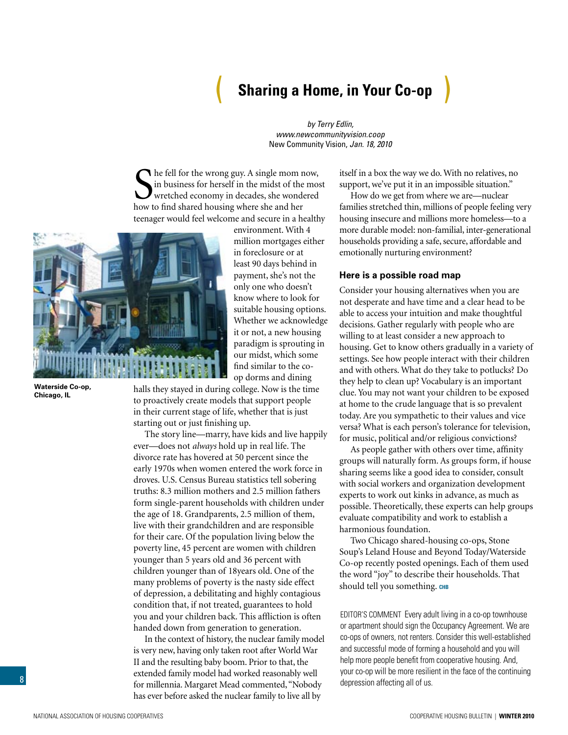# ( **Sharing a Home, in Your Co-op** )

*by Terry Edlin, www.newcommunityvision.coop* New Community Vision, *Jan. 18, 2010* 

<span id="page-7-0"></span>Some fell for the wrong guy. A single mom n in business for herself in the midst of the wretched economy in decades, she wonded how to find shared housing where she and her he fell for the wrong guy. A single mom now, in business for herself in the midst of the most wretched economy in decades, she wondered teenager would feel welcome and secure in a healthy



**Waterside Co-op, Chicago, IL**

environment. With 4 million mortgages either in foreclosure or at least 90 days behind in payment, she's not the only one who doesn't know where to look for suitable housing options. Whether we acknowledge it or not, a new housing paradigm is sprouting in our midst, which some find similar to the coop dorms and dining

halls they stayed in during college. Now is the time to proactively create models that support people in their current stage of life, whether that is just starting out or just finishing up.

The story line—marry, have kids and live happily ever—does not *always* hold up in real life. The divorce rate has hovered at 50 percent since the early 1970s when women entered the work force in droves. U.S. Census Bureau statistics tell sobering truths: 8.3 million mothers and 2.5 million fathers form single-parent households with children under the age of 18. Grandparents, 2.5 million of them, live with their grandchildren and are responsible for their care. Of the population living below the poverty line, 45 percent are women with children younger than 5 years old and 36 percent with children younger than of 18years old. One of the many problems of poverty is the nasty side effect of depression, a debilitating and highly contagious condition that, if not treated, guarantees to hold you and your children back. This affliction is often handed down from generation to generation.

In the context of history, the nuclear family model is very new, having only taken root after World War II and the resulting baby boom. Prior to that, the extended family model had worked reasonably well for millennia. Margaret Mead commented, "Nobody has ever before asked the nuclear family to live all by

itself in a box the way we do. With no relatives, no support, we've put it in an impossible situation."

How do we get from where we are—nuclear families stretched thin, millions of people feeling very housing insecure and millions more homeless—to a more durable model: non-familial, inter-generational households providing a safe, secure, affordable and emotionally nurturing environment?

#### **Here is a possible road map**

Consider your housing alternatives when you are not desperate and have time and a clear head to be able to access your intuition and make thoughtful decisions. Gather regularly with people who are willing to at least consider a new approach to housing. Get to know others gradually in a variety of settings. See how people interact with their children and with others. What do they take to potlucks? Do they help to clean up? Vocabulary is an important clue. You may not want your children to be exposed at home to the crude language that is so prevalent today. Are you sympathetic to their values and vice versa? What is each person's tolerance for television, for music, political and/or religious convictions?

As people gather with others over time, affinity groups will naturally form. As groups form, if house sharing seems like a good idea to consider, consult with social workers and organization development experts to work out kinks in advance, as much as possible. Theoretically, these experts can help groups evaluate compatibility and work to establish a harmonious foundation.

Two Chicago shared-housing co-ops, Stone Soup's Leland House and Beyond Today/Waterside Co-op recently posted openings. Each of them used the word "joy" to describe their households. That should tell you something. CHB

EDITOR'S COMMENT Every adult living in a co-op townhouse or apartment should sign the Occupancy Agreement. We are co-ops of owners, not renters. Consider this well-established and successful mode of forming a household and you will help more people benefit from cooperative housing. And, your co-op will be more resilient in the face of the continuing depression affecting all of us.

8